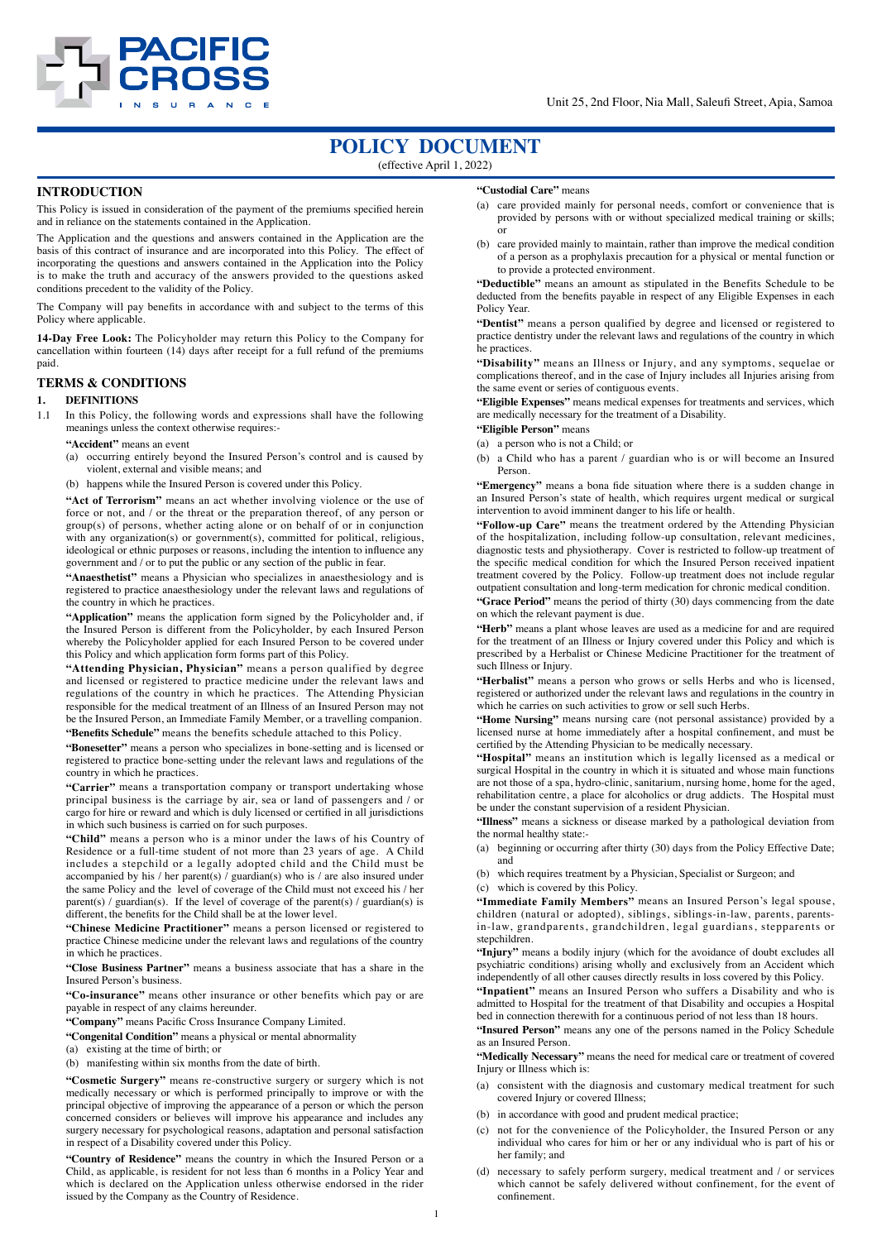

# **POLICY DOCUMENT**

(effective April 1, 2022)

### **INTRODUCTION**

This Policy is issued in consideration of the payment of the premiums specified herein and in reliance on the statements contained in the Application.

The Application and the questions and answers contained in the Application are the basis of this contract of insurance and are incorporated into this Policy. The effect of incorporating the questions and answers contained in the Application into the Policy is to make the truth and accuracy of the answers provided to the questions asked conditions precedent to the validity of the Policy.

The Company will pay benefits in accordance with and subject to the terms of this Policy where applicable.

**14-Day Free Look:** The Policyholder may return this Policy to the Company for cancellation within fourteen (14) days after receipt for a full refund of the premiums paid.

### **TERMS & CONDITIONS**

#### **1. DEFINITIONS**

1.1 In this Policy, the following words and expressions shall have the following meanings unless the context otherwise requires:-

**"Accident"** means an event

(a) occurring entirely beyond the Insured Person's control and is caused by violent, external and visible means; and

(b) happens while the Insured Person is covered under this Policy.

**"Act of Terrorism"** means an act whether involving violence or the use of force or not, and / or the threat or the preparation thereof, of any person or group(s) of persons, whether acting alone or on behalf of or in conjunction with any organization(s) or government(s), committed for political, religious, ideological or ethnic purposes or reasons, including the intention to influence any government and / or to put the public or any section of the public in fear.

**"Anaesthetist"** means a Physician who specializes in anaesthesiology and is registered to practice anaesthesiology under the relevant laws and regulations of the country in which he practices.

**"Application"** means the application form signed by the Policyholder and, if the Insured Person is different from the Policyholder, by each Insured Person whereby the Policyholder applied for each Insured Person to be covered under this Policy and which application form forms part of this Policy.

**"Attending Physician, Physician"** means a person qualified by degree and licensed or registered to practice medicine under the relevant laws and regulations of the country in which he practices. The Attending Physician responsible for the medical treatment of an Illness of an Insured Person may not be the Insured Person, an Immediate Family Member, or a travelling companion. **"Benefits Schedule"** means the benefits schedule attached to this Policy.

**"Bonesetter"** means a person who specializes in bone-setting and is licensed or registered to practice bone-setting under the relevant laws and regulations of the country in which he practices.

**"Carrier"** means a transportation company or transport undertaking whose principal business is the carriage by air, sea or land of passengers and / or cargo for hire or reward and which is duly licensed or certified in all jurisdictions in which such business is carried on for such purposes.

**"Child"** means a person who is a minor under the laws of his Country of Residence or a full-time student of not more than 23 years of age. A Child includes a stepchild or a legally adopted child and the Child must be accompanied by his / her parent(s)  $\ell$  guardian(s) who is  $\ell$  are also insured under the same Policy and the level of coverage of the Child must not exceed his / her parent(s) / guardian(s). If the level of coverage of the parent(s) / guardian(s) is different, the benefits for the Child shall be at the lower level.

**"Chinese Medicine Practitioner"** means a person licensed or registered to practice Chinese medicine under the relevant laws and regulations of the country in which he practices.

**"Close Business Partner"** means a business associate that has a share in the Insured Person's business.

**"Co-insurance"** means other insurance or other benefits which pay or are payable in respect of any claims hereunder.

**"Company"** means Pacific Cross Insurance Company Limited.

**"Congenital Condition"** means a physical or mental abnormality

(a) existing at the time of birth; or

(b) manifesting within six months from the date of birth.

**"Cosmetic Surgery"** means re-constructive surgery or surgery which is not medically necessary or which is performed principally to improve or with the principal objective of improving the appearance of a person or which the person concerned considers or believes will improve his appearance and includes any surgery necessary for psychological reasons, adaptation and personal satisfaction in respect of a Disability covered under this Policy.

**"Country of Residence"** means the country in which the Insured Person or a Child, as applicable, is resident for not less than 6 months in a Policy Year and which is declared on the Application unless otherwise endorsed in the rider issued by the Company as the Country of Residence.

#### **"Custodial Care"** means

- (a) care provided mainly for personal needs, comfort or convenience that is provided by persons with or without specialized medical training or skills; or
- (b) care provided mainly to maintain, rather than improve the medical condition of a person as a prophylaxis precaution for a physical or mental function or to provide a protected environment.

**"Deductible"** means an amount as stipulated in the Benefits Schedule to be deducted from the benefits payable in respect of any Eligible Expenses in each Policy Year.

**"Dentist"** means a person qualified by degree and licensed or registered to practice dentistry under the relevant laws and regulations of the country in which he practices.

**"Disability"** means an Illness or Injury, and any symptoms, sequelae or complications thereof, and in the case of Injury includes all Injuries arising from the same event or series of contiguous events.

**"Eligible Expenses"** means medical expenses for treatments and services, which are medically necessary for the treatment of a Disability.

**"Eligible Person"** means

(a) a person who is not a Child; or

(b) a Child who has a parent / guardian who is or will become an Insured Person.

**"Emergency"** means a bona fide situation where there is a sudden change in an Insured Person's state of health, which requires urgent medical or surgical intervention to avoid imminent danger to his life or health.

**"Follow-up Care"** means the treatment ordered by the Attending Physician of the hospitalization, including follow-up consultation, relevant medicines, diagnostic tests and physiotherapy. Cover is restricted to follow-up treatment of the specific medical condition for which the Insured Person received inpatient treatment covered by the Policy. Follow-up treatment does not include regular outpatient consultation and long-term medication for chronic medical condition.

**"Grace Period"** means the period of thirty (30) days commencing from the date on which the relevant payment is due.

**"Herb"** means a plant whose leaves are used as a medicine for and are required for the treatment of an Illness or Injury covered under this Policy and which is prescribed by a Herbalist or Chinese Medicine Practitioner for the treatment of such Illness or Injury.

**"Herbalist"** means a person who grows or sells Herbs and who is licensed, registered or authorized under the relevant laws and regulations in the country in which he carries on such activities to grow or sell such Herbs.

**"Home Nursing"** means nursing care (not personal assistance) provided by a licensed nurse at home immediately after a hospital confinement, and must be certified by the Attending Physician to be medically necessary.

**"Hospital"** means an institution which is legally licensed as a medical or surgical Hospital in the country in which it is situated and whose main functions are not those of a spa, hydro-clinic, sanitarium, nursing home, home for the aged, rehabilitation centre, a place for alcoholics or drug addicts. The Hospital must be under the constant supervision of a resident Physician.

**"Illness"** means a sickness or disease marked by a pathological deviation from the normal healthy state:-

(a) beginning or occurring after thirty (30) days from the Policy Effective Date; and

(b) which requires treatment by a Physician, Specialist or Surgeon; and

(c) which is covered by this Policy.

**"Immediate Family Members"** means an Insured Person's legal spouse, children (natural or adopted), siblings, siblings-in-law, parents, parentsin-law, grandparents, grandchildren, legal guardians, stepparents or stepchildren.

**"Injury"** means a bodily injury (which for the avoidance of doubt excludes all psychiatric conditions) arising wholly and exclusively from an Accident which independently of all other causes directly results in loss covered by this Policy.

**"Inpatient"** means an Insured Person who suffers a Disability and who is admitted to Hospital for the treatment of that Disability and occupies a Hospital bed in connection therewith for a continuous period of not less than 18 hours.

**"Insured Person"** means any one of the persons named in the Policy Schedule as an Insured Person.

**"Medically Necessary"** means the need for medical care or treatment of covered Injury or Illness which is:

- (a) consistent with the diagnosis and customary medical treatment for such covered Injury or covered Illness;
- (b) in accordance with good and prudent medical practice;
- (c) not for the convenience of the Policyholder, the Insured Person or any individual who cares for him or her or any individual who is part of his or her family; and
- (d) necessary to safely perform surgery, medical treatment and / or services which cannot be safely delivered without confinement, for the event of confinement.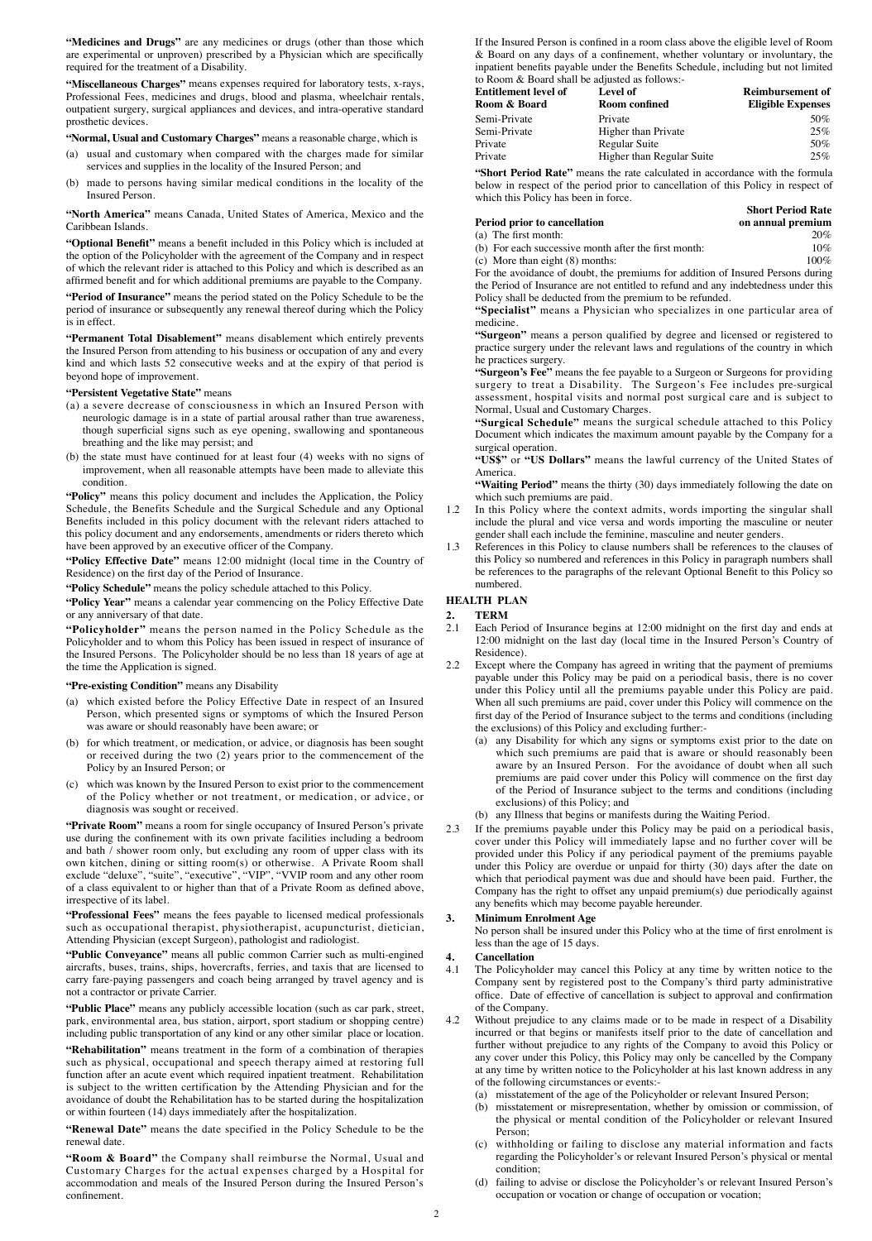**"Medicines and Drugs"** are any medicines or drugs (other than those which are experimental or unproven) prescribed by a Physician which are specifically required for the treatment of a Disability.

**"Miscellaneous Charges"** means expenses required for laboratory tests, x-rays, Professional Fees, medicines and drugs, blood and plasma, wheelchair rentals, outpatient surgery, surgical appliances and devices, and intra-operative standard prosthetic devices.

#### **"Normal, Usual and Customary Charges"** means a reasonable charge, which is

- (a) usual and customary when compared with the charges made for similar services and supplies in the locality of the Insured Person; and
- (b) made to persons having similar medical conditions in the locality of the Insured Person.

**"North America"** means Canada, United States of America, Mexico and the Caribbean Islands.

**"Optional Benefit"** means a benefit included in this Policy which is included at the option of the Policyholder with the agreement of the Company and in respect of which the relevant rider is attached to this Policy and which is described as an affirmed benefit and for which additional premiums are payable to the Company.

**"Period of Insurance"** means the period stated on the Policy Schedule to be the period of insurance or subsequently any renewal thereof during which the Policy is in effect.

**"Permanent Total Disablement"** means disablement which entirely prevents the Insured Person from attending to his business or occupation of any and every kind and which lasts 52 consecutive weeks and at the expiry of that period is beyond hope of improvement.

#### **"Persistent Vegetative State"** means

- (a) a severe decrease of consciousness in which an Insured Person with neurologic damage is in a state of partial arousal rather than true awareness, though superficial signs such as eye opening, swallowing and spontaneous breathing and the like may persist; and
- (b) the state must have continued for at least four (4) weeks with no signs of improvement, when all reasonable attempts have been made to alleviate this condition.

"Policy" means this policy document and includes the Application, the Policy Schedule, the Benefits Schedule and the Surgical Schedule and any Optional Benefits included in this policy document with the relevant riders attached to this policy document and any endorsements, amendments or riders thereto which have been approved by an executive officer of the Company.

**"Policy Effective Date"** means 12:00 midnight (local time in the Country of Residence) on the first day of the Period of Insurance.

**"Policy Schedule"** means the policy schedule attached to this Policy.

**"Policy Year"** means a calendar year commencing on the Policy Effective Date or any anniversary of that date.

**"Policyholder"** means the person named in the Policy Schedule as the Policyholder and to whom this Policy has been issued in respect of insurance of the Insured Persons. The Policyholder should be no less than 18 years of age at the time the Application is signed.

#### **"Pre-existing Condition"** means any Disability

- (a) which existed before the Policy Effective Date in respect of an Insured Person, which presented signs or symptoms of which the Insured Person was aware or should reasonably have been aware; or
- (b) for which treatment, or medication, or advice, or diagnosis has been sought or received during the two (2) years prior to the commencement of the Policy by an Insured Person; or
- (c) which was known by the Insured Person to exist prior to the commencement of the Policy whether or not treatment, or medication, or advice, or diagnosis was sought or received.

**"Private Room"** means a room for single occupancy of Insured Person's private use during the confinement with its own private facilities including a bedroom and bath / shower room only, but excluding any room of upper class with its own kitchen, dining or sitting room(s) or otherwise. A Private Room shall exclude "deluxe", "suite", "executive", "VIP", "VVIP room and any other room of a class equivalent to or higher than that of a Private Room as defined above, irrespective of its label.

**"Professional Fees"** means the fees payable to licensed medical professionals such as occupational therapist, physiotherapist, acupuncturist, dietician, Attending Physician (except Surgeon), pathologist and radiologist.

**"Public Conveyance"** means all public common Carrier such as multi-engined aircrafts, buses, trains, ships, hovercrafts, ferries, and taxis that are licensed to carry fare-paying passengers and coach being arranged by travel agency and is not a contractor or private Carrier.

**"Public Place"** means any publicly accessible location (such as car park, street, park, environmental area, bus station, airport, sport stadium or shopping centre) including public transportation of any kind or any other similar place or location.

**"Rehabilitation"** means treatment in the form of a combination of therapies such as physical, occupational and speech therapy aimed at restoring full function after an acute event which required inpatient treatment. Rehabilitation is subject to the written certification by the Attending Physician and for the avoidance of doubt the Rehabilitation has to be started during the hospitalization or within fourteen (14) days immediately after the hospitalization.

**"Renewal Date"** means the date specified in the Policy Schedule to be the renewal date.

**"Room & Board"** the Company shall reimburse the Normal, Usual and Customary Charges for the actual expenses charged by a Hospital for accommodation and meals of the Insured Person during the Insured Person̓s confinement.

If the Insured Person is confined in a room class above the eligible level of Room & Board on any days of a confinement, whether voluntary or involuntary, the inpatient benefits payable under the Benefits Schedule, including but not limited to Room & Board shall be adjusted as follows:-

| Entitlement level of | Level of                  | <b>Reimbursement of</b>  |
|----------------------|---------------------------|--------------------------|
| Room & Board         | <b>Room confined</b>      | <b>Eligible Expenses</b> |
| Semi-Private         | Private                   | 50%                      |
| Semi-Private         | Higher than Private       | 25%                      |
| Private              | Regular Suite             | 50%                      |
| Private              | Higher than Regular Suite | 25%                      |

**"Short Period Rate"** means the rate calculated in accordance with the formula below in respect of the period prior to cancellation of this Policy in respect of which this Policy has been in force.

# **Period prior to cancellation**<br>(a) The first month: 20% **on annual premium**

|                                                      | <b>Short Period Rate</b> |
|------------------------------------------------------|--------------------------|
| Period prior to cancellation                         | on annual premium        |
| (a) The first month:                                 | 20%                      |
| (b) For each successive month after the first month: | 10%                      |

(b) For each successive month after the first month:  $10\%$ <br>(c) More than eight (8) months:  $100\%$ (c) More than eight  $(8)$  months:

For the avoidance of doubt, the premiums for addition of Insured Persons during the Period of Insurance are not entitled to refund and any indebtedness under this Policy shall be deducted from the premium to be refunded.

**"Specialist"** means a Physician who specializes in one particular area of medicine.

**"Surgeon"** means a person qualified by degree and licensed or registered to practice surgery under the relevant laws and regulations of the country in which he practices surgery.

**"Surgeon's Fee"** means the fee payable to a Surgeon or Surgeons for providing surgery to treat a Disability. The Surgeon's Fee includes pre-surgical assessment, hospital visits and normal post surgical care and is subject to Normal, Usual and Customary Charges.

**"Surgical Schedule"** means the surgical schedule attached to this Policy Document which indicates the maximum amount payable by the Company for a surgical operation.

**"US\$"** or **"US Dollars"** means the lawful currency of the United States of America.

**"Waiting Period"** means the thirty (30) days immediately following the date on which such premiums are paid.

- 1.2 In this Policy where the context admits, words importing the singular shall include the plural and vice versa and words importing the masculine or neuter gender shall each include the feminine, masculine and neuter genders.
- 1.3 References in this Policy to clause numbers shall be references to the clauses of this Policy so numbered and references in this Policy in paragraph numbers shall be references to the paragraphs of the relevant Optional Benefit to this Policy so numbered.

## **HEALTH PLAN**

**2. TERM**<br>**2.1 Each** Pe

- 2.1 Each Period of Insurance begins at 12:00 midnight on the first day and ends at 12:00 midnight on the last day (local time in the Insured Person's Country of Residence).
- 2.2 Except where the Company has agreed in writing that the payment of premiums payable under this Policy may be paid on a periodical basis, there is no cover under this Policy until all the premiums payable under this Policy are paid. When all such premiums are paid, cover under this Policy will commence on the first day of the Period of Insurance subject to the terms and conditions (including the exclusions) of this Policy and excluding further:-
	- (a) any Disability for which any signs or symptoms exist prior to the date on which such premiums are paid that is aware or should reasonably been aware by an Insured Person. For the avoidance of doubt when all such premiums are paid cover under this Policy will commence on the first day of the Period of Insurance subject to the terms and conditions (including exclusions) of this Policy; and
	- (b) any Illness that begins or manifests during the Waiting Period.
- 2.3 If the premiums payable under this Policy may be paid on a periodical basis, cover under this Policy will immediately lapse and no further cover will be provided under this Policy if any periodical payment of the premiums payable under this Policy are overdue or unpaid for thirty (30) days after the date on which that periodical payment was due and should have been paid. Further, the Company has the right to offset any unpaid premium(s) due periodically against any benefits which may become payable hereunder.

#### **3. Minimum Enrolment Age**

No person shall be insured under this Policy who at the time of first enrolment is less than the age of 15 days.

# **4. Cancellation**

The Policyholder may cancel this Policy at any time by written notice to the Company sent by registered post to the Company's third party administrative office. Date of effective of cancellation is subject to approval and confirmation of the Company.

- 4.2 Without prejudice to any claims made or to be made in respect of a Disability incurred or that begins or manifests itself prior to the date of cancellation and further without prejudice to any rights of the Company to avoid this Policy or any cover under this Policy, this Policy may only be cancelled by the Company at any time by written notice to the Policyholder at his last known address in any of the following circumstances or events:
	- (a) misstatement of the age of the Policyholder or relevant Insured Person;
	- (b) misstatement or misrepresentation, whether by omission or commission, of the physical or mental condition of the Policyholder or relevant Insured Person;
	- (c) withholding or failing to disclose any material information and facts regarding the Policyholder's or relevant Insured Person's physical or mental condition;
	- (d) failing to advise or disclose the Policyholder's or relevant Insured Person's occupation or vocation or change of occupation or vocation;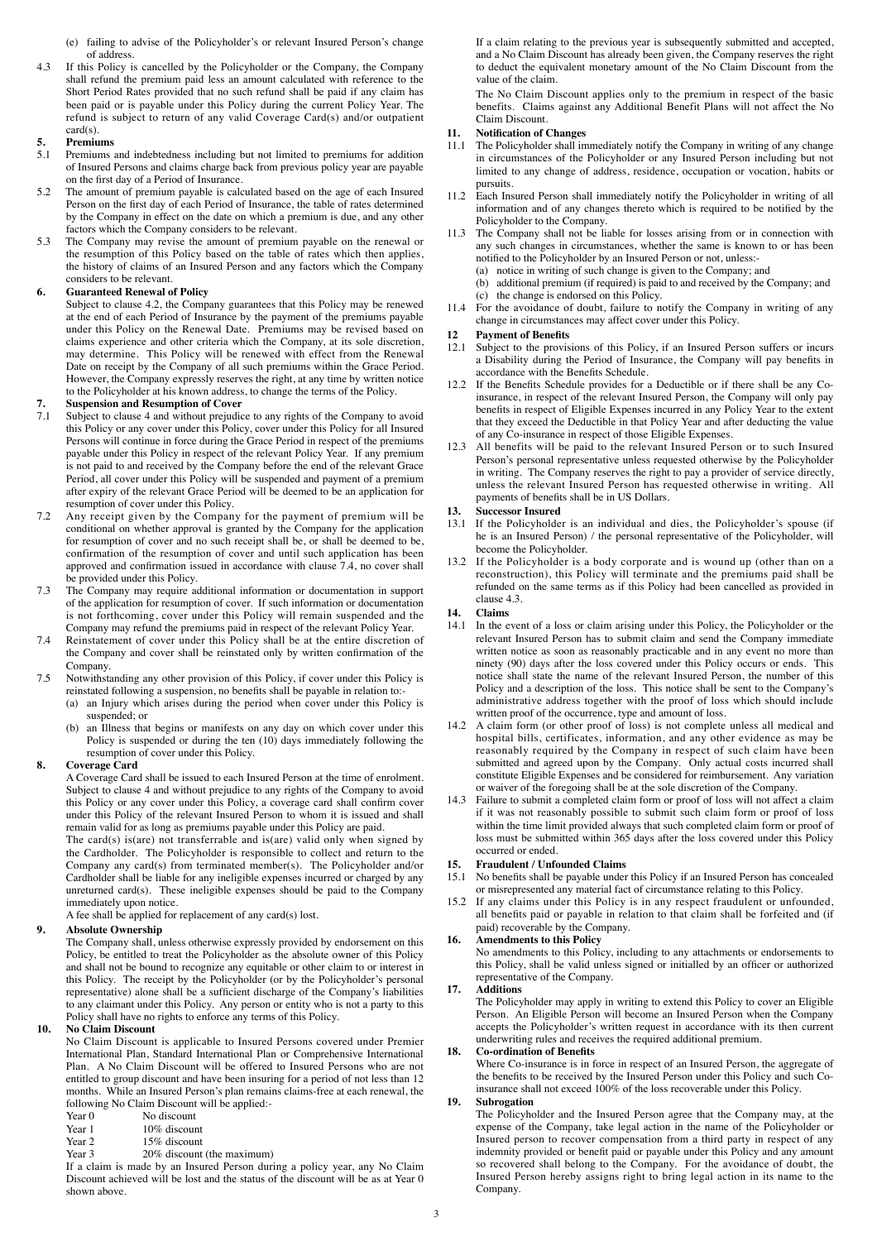- (e) failing to advise of the Policyholder's or relevant Insured Person's change of address.
- 4.3 If this Policy is cancelled by the Policyholder or the Company, the Company shall refund the premium paid less an amount calculated with reference to the Short Period Rates provided that no such refund shall be paid if any claim has been paid or is payable under this Policy during the current Policy Year. The refund is subject to return of any valid Coverage Card(s) and/or outpatient card(s).

# **5. Premiums**

- Premiums and indebtedness including but not limited to premiums for addition of Insured Persons and claims charge back from previous policy year are payable on the first day of a Period of Insurance.
- 5.2 The amount of premium payable is calculated based on the age of each Insured Person on the first day of each Period of Insurance, the table of rates determined by the Company in effect on the date on which a premium is due, and any other factors which the Company considers to be relevant.
- 5.3 The Company may revise the amount of premium payable on the renewal or the resumption of this Policy based on the table of rates which then applies, the history of claims of an Insured Person and any factors which the Company considers to be relevant.

## **6. Guaranteed Renewal of Policy**

Subject to clause 4.2, the Company guarantees that this Policy may be renewed at the end of each Period of Insurance by the payment of the premiums payable under this Policy on the Renewal Date. Premiums may be revised based on claims experience and other criteria which the Company, at its sole discretion, may determine. This Policy will be renewed with effect from the Renewal Date on receipt by the Company of all such premiums within the Grace Period. However, the Company expressly reserves the right, at any time by written notice to the Policyholder at his known address, to change the terms of the Policy.

# **7. Suspension and Resumption of Cover**

- 7.1 Subject to clause 4 and without prejudice to any rights of the Company to avoid this Policy or any cover under this Policy, cover under this Policy for all Insured Persons will continue in force during the Grace Period in respect of the premiums payable under this Policy in respect of the relevant Policy Year. If any premium is not paid to and received by the Company before the end of the relevant Grace Period, all cover under this Policy will be suspended and payment of a premium after expiry of the relevant Grace Period will be deemed to be an application for resumption of cover under this Policy.
- 7.2 Any receipt given by the Company for the payment of premium will be conditional on whether approval is granted by the Company for the application for resumption of cover and no such receipt shall be, or shall be deemed to be, confirmation of the resumption of cover and until such application has been approved and confirmation issued in accordance with clause 7.4, no cover shall be provided under this Policy.
- 7.3 The Company may require additional information or documentation in support of the application for resumption of cover. If such information or documentation is not forthcoming, cover under this Policy will remain suspended and the Company may refund the premiums paid in respect of the relevant Policy Year.
- 7.4 Reinstatement of cover under this Policy shall be at the entire discretion of the Company and cover shall be reinstated only by written confirmation of the Company.
- 7.5 Notwithstanding any other provision of this Policy, if cover under this Policy is reinstated following a suspension, no benefits shall be payable in relation to:-
	- (a) an Injury which arises during the period when cover under this Policy is suspended; or
		- (b) an Illness that begins or manifests on any day on which cover under this Policy is suspended or during the ten (10) days immediately following the resumption of cover under this Policy.

## **8. Coverage Card**

A Coverage Card shall be issued to each Insured Person at the time of enrolment. Subject to clause 4 and without prejudice to any rights of the Company to avoid this Policy or any cover under this Policy, a coverage card shall confirm cover under this Policy of the relevant Insured Person to whom it is issued and shall remain valid for as long as premiums payable under this Policy are paid.

The card(s) is(are) not transferrable and is(are) valid only when signed by the Cardholder. The Policyholder is responsible to collect and return to the Company any card(s) from terminated member(s). The Policyholder and/or Cardholder shall be liable for any ineligible expenses incurred or charged by any unreturned card(s). These ineligible expenses should be paid to the Company immediately upon notice.

A fee shall be applied for replacement of any card(s) lost.

# **9. Absolute Ownership**

The Company shall, unless otherwise expressly provided by endorsement on this Policy, be entitled to treat the Policyholder as the absolute owner of this Policy and shall not be bound to recognize any equitable or other claim to or interest in this Policy. The receipt by the Policyholder (or by the Policyholder's personal representative) alone shall be a sufficient discharge of the Company's liabilities to any claimant under this Policy. Any person or entity who is not a party to this Policy shall have no rights to enforce any terms of this Policy.

## **10. No Claim Discount**

No Claim Discount is applicable to Insured Persons covered under Premier International Plan, Standard International Plan or Comprehensive International Plan. A No Claim Discount will be offered to Insured Persons who are not entitled to group discount and have been insuring for a period of not less than 12 months. While an Insured Person's plan remains claims-free at each renewal, the following No Claim Discount will be applied:-<br>Year 0 No discount

- Year 0 No discount<br>Year 1 10% discour
- Year 1 10% discount<br>Year 2 15% discount
- Year 2 15% discount<br>Year 3 20% discount
- 20% discount (the maximum)

If a claim is made by an Insured Person during a policy year, any No Claim Discount achieved will be lost and the status of the discount will be as at Year 0 shown above.

If a claim relating to the previous year is subsequently submitted and accepted, and a No Claim Discount has already been given, the Company reserves the right to deduct the equivalent monetary amount of the No Claim Discount from the value of the claim.

The No Claim Discount applies only to the premium in respect of the basic benefits. Claims against any Additional Benefit Plans will not affect the No Claim Discount.

# **11. Notification of Changes**

- The Policyholder shall immediately notify the Company in writing of any change in circumstances of the Policyholder or any Insured Person including but not limited to any change of address, residence, occupation or vocation, habits or pursuits.
- 11.2 Each Insured Person shall immediately notify the Policyholder in writing of all information and of any changes thereto which is required to be notified by the Policyholder to the Company.
- 11.3 The Company shall not be liable for losses arising from or in connection with any such changes in circumstances, whether the same is known to or has been notified to the Policyholder by an Insured Person or not, unless:- (a) notice in writing of such change is given to the Company; and
	-
	- (b) additional premium (if required) is paid to and received by the Company; and (c) the change is endorsed on this Policy.
- 11.4 For the avoidance of doubt, failure to notify the Company in writing of any change in circumstances may affect cover under this Policy.

## **12 Payment of Benefits**

- 12.1 Subject to the provisions of this Policy, if an Insured Person suffers or incurs a Disability during the Period of Insurance, the Company will pay benefits in accordance with the Benefits Schedule.
- 12.2 If the Benefits Schedule provides for a Deductible or if there shall be any Coinsurance, in respect of the relevant Insured Person, the Company will only pay benefits in respect of Eligible Expenses incurred in any Policy Year to the extent that they exceed the Deductible in that Policy Year and after deducting the value of any Co-insurance in respect of those Eligible Expenses.
- 12.3 All benefits will be paid to the relevant Insured Person or to such Insured Person's personal representative unless requested otherwise by the Policyholder in writing. The Company reserves the right to pay a provider of service directly, unless the relevant Insured Person has requested otherwise in writing. All payments of benefits shall be in US Dollars.

## **13. Successor Insured**

- 13.1 If the Policyholder is an individual and dies, the Policyholder's spouse (if he is an Insured Person) / the personal representative of the Policyholder, will become the Policyholder.
- 13.2 If the Policyholder is a body corporate and is wound up (other than on a reconstruction), this Policy will terminate and the premiums paid shall be refunded on the same terms as if this Policy had been cancelled as provided in clause 4.3.

# **14. Claims**

- In the event of a loss or claim arising under this Policy, the Policyholder or the relevant Insured Person has to submit claim and send the Company immediate written notice as soon as reasonably practicable and in any event no more than ninety (90) days after the loss covered under this Policy occurs or ends. This notice shall state the name of the relevant Insured Person, the number of this Policy and a description of the loss. This notice shall be sent to the Company's administrative address together with the proof of loss which should include written proof of the occurrence, type and amount of loss.
- 14.2 A claim form (or other proof of loss) is not complete unless all medical and hospital bills, certificates, information, and any other evidence as may be reasonably required by the Company in respect of such claim have been submitted and agreed upon by the Company. Only actual costs incurred shall constitute Eligible Expenses and be considered for reimbursement. Any variation or waiver of the foregoing shall be at the sole discretion of the Company.
- 14.3 Failure to submit a completed claim form or proof of loss will not affect a claim if it was not reasonably possible to submit such claim form or proof of loss within the time limit provided always that such completed claim form or proof of loss must be submitted within 365 days after the loss covered under this Policy occurred or ended.

# **15. Fraudulent / Unfounded Claims**

15.1 No benefits shall be payable under this Policy if an Insured Person has concealed or misrepresented any material fact of circumstance relating to this Policy.

15.2 If any claims under this Policy is in any respect fraudulent or unfounded, all benefits paid or payable in relation to that claim shall be forfeited and (if paid) recoverable by the Company.

## **16. Amendments to this Policy**

No amendments to this Policy, including to any attachments or endorsements to this Policy, shall be valid unless signed or initialled by an officer or authorized representative of the Company.

## **17. Additions**

The Policyholder may apply in writing to extend this Policy to cover an Eligible Person. An Eligible Person will become an Insured Person when the Company accepts the Policyholder's written request in accordance with its then current underwriting rules and receives the required additional premium.

## **18. Co-ordination of Benefits**

Where Co-insurance is in force in respect of an Insured Person, the aggregate of the benefits to be received by the Insured Person under this Policy and such Coinsurance shall not exceed 100% of the loss recoverable under this Policy.

## **19. Subrogation**

The Policyholder and the Insured Person agree that the Company may, at the expense of the Company, take legal action in the name of the Policyholder or Insured person to recover compensation from a third party in respect of any indemnity provided or benefit paid or payable under this Policy and any amount so recovered shall belong to the Company. For the avoidance of doubt, the Insured Person hereby assigns right to bring legal action in its name to the Company.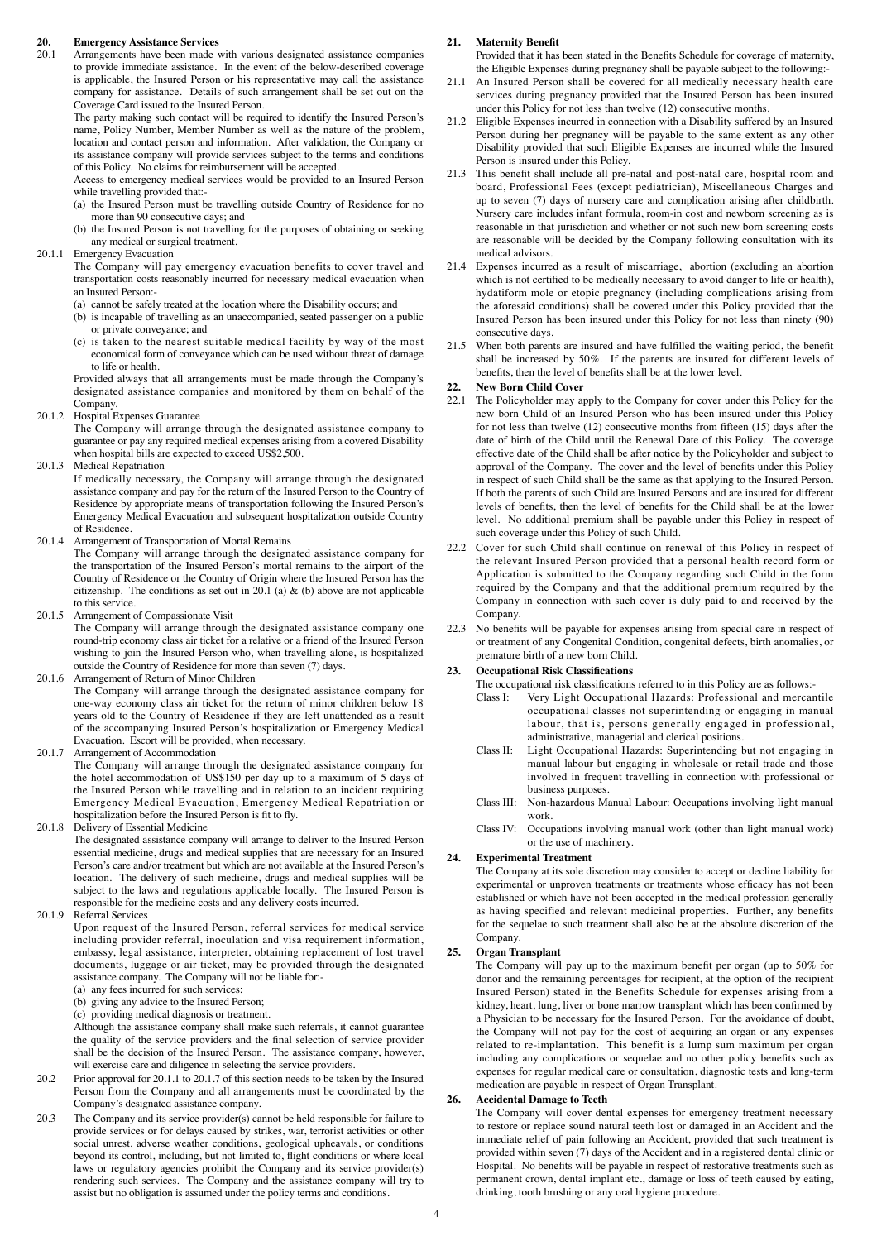# **20. Emergency Assistance Services**

Arrangements have been made with various designated assistance companies to provide immediate assistance. In the event of the below-described coverage is applicable, the Insured Person or his representative may call the assistance company for assistance. Details of such arrangement shall be set out on the Coverage Card issued to the Insured Person.

The party making such contact will be required to identify the Insured Person's name, Policy Number, Member Number as well as the nature of the problem, location and contact person and information. After validation, the Company or its assistance company will provide services subject to the terms and conditions of this Policy. No claims for reimbursement will be accepted.

Access to emergency medical services would be provided to an Insured Person while travelling provided that:-

- (a) the Insured Person must be travelling outside Country of Residence for no more than 90 consecutive days; and
- (b) the Insured Person is not travelling for the purposes of obtaining or seeking any medical or surgical treatment.
- 20.1.1 Emergency Evacuation

The Company will pay emergency evacuation benefits to cover travel and transportation costs reasonably incurred for necessary medical evacuation when an Insured Person:-

- (a) cannot be safely treated at the location where the Disability occurs; and
- (b) is incapable of travelling as an unaccompanied, seated passenger on a public or private conveyance; and
- (c) is taken to the nearest suitable medical facility by way of the most economical form of conveyance which can be used without threat of damage to life or health.

Provided always that all arrangements must be made through the Company's designated assistance companies and monitored by them on behalf of the Company.

20.1.2 Hospital Expenses Guarantee

The Company will arrange through the designated assistance company to guarantee or pay any required medical expenses arising from a covered Disability when hospital bills are expected to exceed US\$2,500.

20.1.3 Medical Repatriation

If medically necessary, the Company will arrange through the designated assistance company and pay for the return of the Insured Person to the Country of Residence by appropriate means of transportation following the Insured Person's Emergency Medical Evacuation and subsequent hospitalization outside Country of Residence.

20.1.4 Arrangement of Transportation of Mortal Remains

The Company will arrange through the designated assistance company for the transportation of the Insured Person's mortal remains to the airport of the Country of Residence or the Country of Origin where the Insured Person has the citizenship. The conditions as set out in 20.1 (a)  $\&$  (b) above are not applicable to this service.

20.1.5 Arrangement of Compassionate Visit

The Company will arrange through the designated assistance company one round-trip economy class air ticket for a relative or a friend of the Insured Person wishing to join the Insured Person who, when travelling alone, is hospitalized outside the Country of Residence for more than seven (7) days.

20.1.6 Arrangement of Return of Minor Children

The Company will arrange through the designated assistance company for one-way economy class air ticket for the return of minor children below 18 years old to the Country of Residence if they are left unattended as a result of the accompanying Insured Person's hospitalization or Emergency Medical Evacuation. Escort will be provided, when necessary.

20.1.7 Arrangement of Accommodation

The Company will arrange through the designated assistance company for the hotel accommodation of US\$150 per day up to a maximum of 5 days of the Insured Person while travelling and in relation to an incident requiring Emergency Medical Evacuation, Emergency Medical Repatriation or hospitalization before the Insured Person is fit to fly.

20.1.8 Delivery of Essential Medicine

The designated assistance company will arrange to deliver to the Insured Person essential medicine, drugs and medical supplies that are necessary for an Insured Person's care and/or treatment but which are not available at the Insured Person's location. The delivery of such medicine, drugs and medical supplies will be subject to the laws and regulations applicable locally. The Insured Person is responsible for the medicine costs and any delivery costs incurred.

20.1.9 Referral Services

Upon request of the Insured Person, referral services for medical service including provider referral, inoculation and visa requirement information, embassy, legal assistance, interpreter, obtaining replacement of lost travel documents, luggage or air ticket, may be provided through the designated assistance company. The Company will not be liable for:-

- (a) any fees incurred for such services;
- (b) giving any advice to the Insured Person;
- (c) providing medical diagnosis or treatment.

Although the assistance company shall make such referrals, it cannot guarantee the quality of the service providers and the final selection of service provider shall be the decision of the Insured Person. The assistance company, however, will exercise care and diligence in selecting the service providers.

- 20.2 Prior approval for 20.1.1 to 20.1.7 of this section needs to be taken by the Insured Person from the Company and all arrangements must be coordinated by the Company's designated assistance company.
- 20.3 The Company and its service provider(s) cannot be held responsible for failure to provide services or for delays caused by strikes, war, terrorist activities or other social unrest, adverse weather conditions, geological upheavals, or conditions beyond its control, including, but not limited to, flight conditions or where local laws or regulatory agencies prohibit the Company and its service provider(s) rendering such services. The Company and the assistance company will try to assist but no obligation is assumed under the policy terms and conditions.

#### **21. Maternity Benefit**

Provided that it has been stated in the Benefits Schedule for coverage of maternity, the Eligible Expenses during pregnancy shall be payable subject to the following:-

- 21.1 An Insured Person shall be covered for all medically necessary health care services during pregnancy provided that the Insured Person has been insured under this Policy for not less than twelve (12) consecutive months.
- 21.2 Eligible Expenses incurred in connection with a Disability suffered by an Insured Person during her pregnancy will be payable to the same extent as any other Disability provided that such Eligible Expenses are incurred while the Insured Person is insured under this Policy.
- 21.3 This benefit shall include all pre-natal and post-natal care, hospital room and board, Professional Fees (except pediatrician), Miscellaneous Charges and up to seven (7) days of nursery care and complication arising after childbirth. Nursery care includes infant formula, room-in cost and newborn screening as is reasonable in that jurisdiction and whether or not such new born screening costs are reasonable will be decided by the Company following consultation with its medical advisors.
- 21.4 Expenses incurred as a result of miscarriage, abortion (excluding an abortion which is not certified to be medically necessary to avoid danger to life or health), hydatiform mole or etopic pregnancy (including complications arising from the aforesaid conditions) shall be covered under this Policy provided that the Insured Person has been insured under this Policy for not less than ninety (90) consecutive days.
- 21.5 When both parents are insured and have fulfilled the waiting period, the benefit shall be increased by 50%. If the parents are insured for different levels of benefits, then the level of benefits shall be at the lower level.

#### **22. New Born Child Cover**

- 22.1 The Policyholder may apply to the Company for cover under this Policy for the new born Child of an Insured Person who has been insured under this Policy for not less than twelve (12) consecutive months from fifteen (15) days after the date of birth of the Child until the Renewal Date of this Policy. The coverage effective date of the Child shall be after notice by the Policyholder and subject to approval of the Company. The cover and the level of benefits under this Policy in respect of such Child shall be the same as that applying to the Insured Person. If both the parents of such Child are Insured Persons and are insured for different levels of benefits, then the level of benefits for the Child shall be at the lower level. No additional premium shall be payable under this Policy in respect of such coverage under this Policy of such Child.
- 22.2 Cover for such Child shall continue on renewal of this Policy in respect of the relevant Insured Person provided that a personal health record form or Application is submitted to the Company regarding such Child in the form required by the Company and that the additional premium required by the Company in connection with such cover is duly paid to and received by the Company.
- 22.3 No benefits will be payable for expenses arising from special care in respect of or treatment of any Congenital Condition, congenital defects, birth anomalies, or premature birth of a new born Child.

## **23. Occupational Risk Classifications**

The occupational risk classifications referred to in this Policy are as follows:-

- Class I: Very Light Occupational Hazards: Professional and mercantile occupational classes not superintending or engaging in manual labour, that is, persons generally engaged in professional, administrative, managerial and clerical positions.
- Class II: Light Occupational Hazards: Superintending but not engaging in manual labour but engaging in wholesale or retail trade and those involved in frequent travelling in connection with professional or business purposes.
- Class III: Non-hazardous Manual Labour: Occupations involving light manual work.
- Class IV: Occupations involving manual work (other than light manual work) or the use of machinery.

#### **24. Experimental Treatment**

The Company at its sole discretion may consider to accept or decline liability for experimental or unproven treatments or treatments whose efficacy has not been established or which have not been accepted in the medical profession generally as having specified and relevant medicinal properties. Further, any benefits for the sequelae to such treatment shall also be at the absolute discretion of the Company.

## **25. Organ Transplant**

The Company will pay up to the maximum benefit per organ (up to 50% for donor and the remaining percentages for recipient, at the option of the recipient Insured Person) stated in the Benefits Schedule for expenses arising from a kidney, heart, lung, liver or bone marrow transplant which has been confirmed by a Physician to be necessary for the Insured Person. For the avoidance of doubt, the Company will not pay for the cost of acquiring an organ or any expenses related to re-implantation. This benefit is a lump sum maximum per organ including any complications or sequelae and no other policy benefits such as expenses for regular medical care or consultation, diagnostic tests and long-term medication are payable in respect of Organ Transplant.

## **26. Accidental Damage to Teeth**

The Company will cover dental expenses for emergency treatment necessary to restore or replace sound natural teeth lost or damaged in an Accident and the immediate relief of pain following an Accident, provided that such treatment is provided within seven (7) days of the Accident and in a registered dental clinic or Hospital. No benefits will be payable in respect of restorative treatments such as permanent crown, dental implant etc., damage or loss of teeth caused by eating, drinking, tooth brushing or any oral hygiene procedure.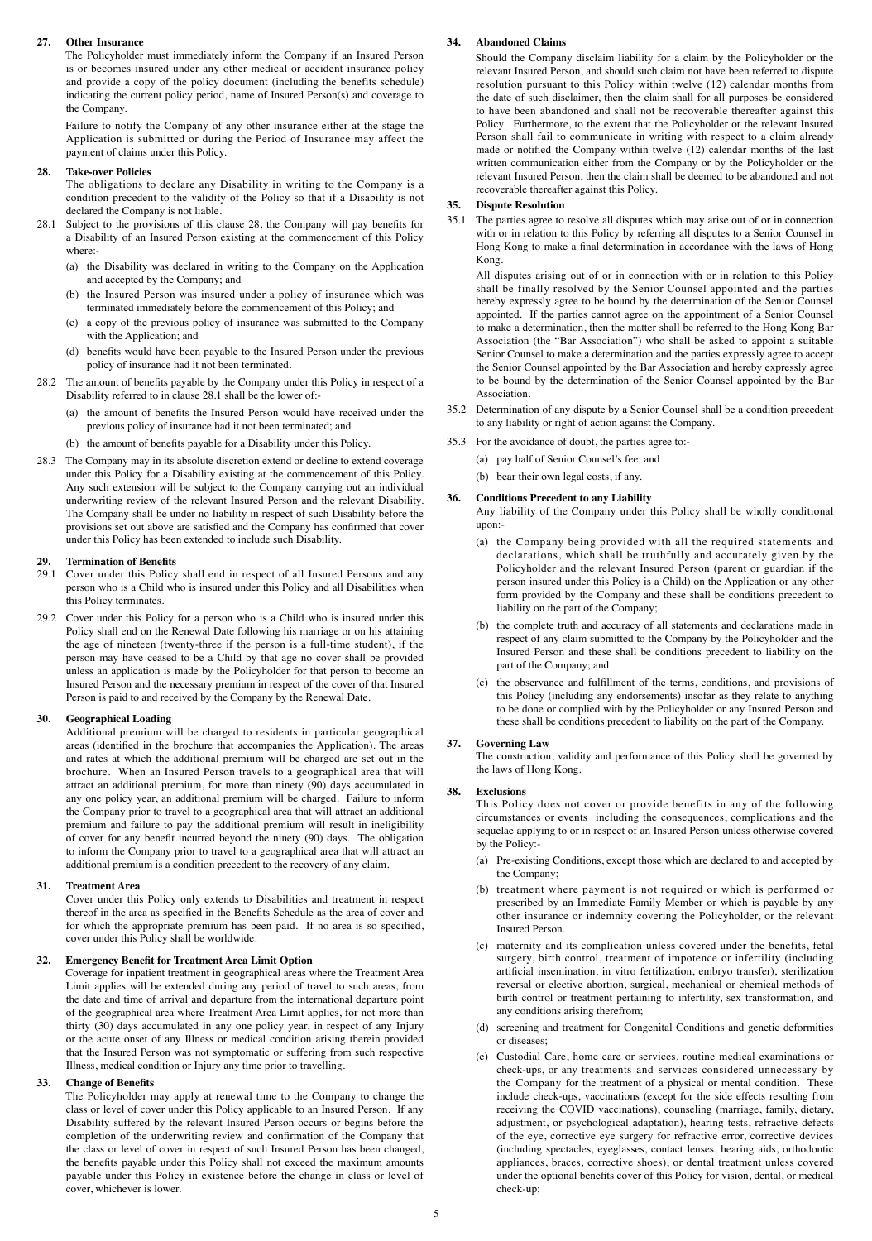#### **27. Other Insurance**

The Policyholder must immediately inform the Company if an Insured Person is or becomes insured under any other medical or accident insurance policy and provide a copy of the policy document (including the benefits schedule) indicating the current policy period, name of Insured Person(s) and coverage to the Company.

Failure to notify the Company of any other insurance either at the stage the Application is submitted or during the Period of Insurance may affect the payment of claims under this Policy.

#### **28. Take-over Policies**

The obligations to declare any Disability in writing to the Company is a condition precedent to the validity of the Policy so that if a Disability is not declared the Company is not liable.

- 28.1 Subject to the provisions of this clause 28, the Company will pay benefits for a Disability of an Insured Person existing at the commencement of this Policy where:-
	- (a) the Disability was declared in writing to the Company on the Application and accepted by the Company; and
	- (b) the Insured Person was insured under a policy of insurance which was terminated immediately before the commencement of this Policy; and
	- (c) a copy of the previous policy of insurance was submitted to the Company with the Application; and
	- (d) benefits would have been payable to the Insured Person under the previous policy of insurance had it not been terminated.
- 28.2 The amount of benefits payable by the Company under this Policy in respect of a Disability referred to in clause 28.1 shall be the lower of:-
	- (a) the amount of benefits the Insured Person would have received under the previous policy of insurance had it not been terminated; and
	- (b) the amount of benefits payable for a Disability under this Policy.
- 28.3 The Company may in its absolute discretion extend or decline to extend coverage under this Policy for a Disability existing at the commencement of this Policy. Any such extension will be subject to the Company carrying out an individual underwriting review of the relevant Insured Person and the relevant Disability. The Company shall be under no liability in respect of such Disability before the provisions set out above are satisfied and the Company has confirmed that cover under this Policy has been extended to include such Disability.

#### **29. Termination of Benefits**

- 29.1 Cover under this Policy shall end in respect of all Insured Persons and any person who is a Child who is insured under this Policy and all Disabilities when this Policy terminates.
- 29.2 Cover under this Policy for a person who is a Child who is insured under this Policy shall end on the Renewal Date following his marriage or on his attaining the age of nineteen (twenty-three if the person is a full-time student), if the person may have ceased to be a Child by that age no cover shall be provided unless an application is made by the Policyholder for that person to become an Insured Person and the necessary premium in respect of the cover of that Insured Person is paid to and received by the Company by the Renewal Date.

#### **30. Geographical Loading**

Additional premium will be charged to residents in particular geographical areas (identified in the brochure that accompanies the Application). The areas and rates at which the additional premium will be charged are set out in the brochure. When an Insured Person travels to a geographical area that will attract an additional premium, for more than ninety (90) days accumulated in any one policy year, an additional premium will be charged. Failure to inform the Company prior to travel to a geographical area that will attract an additional premium and failure to pay the additional premium will result in ineligibility of cover for any benefit incurred beyond the ninety (90) days. The obligation to inform the Company prior to travel to a geographical area that will attract an additional premium is a condition precedent to the recovery of any claim.

#### **31. Treatment Area**

Cover under this Policy only extends to Disabilities and treatment in respect thereof in the area as specified in the Benefits Schedule as the area of cover and for which the appropriate premium has been paid. If no area is so specified, cover under this Policy shall be worldwide.

### **32. Emergency Benefit for Treatment Area Limit Option**

Coverage for inpatient treatment in geographical areas where the Treatment Area Limit applies will be extended during any period of travel to such areas, from the date and time of arrival and departure from the international departure point of the geographical area where Treatment Area Limit applies, for not more than thirty (30) days accumulated in any one policy year, in respect of any Injury or the acute onset of any Illness or medical condition arising therein provided that the Insured Person was not symptomatic or suffering from such respective Illness, medical condition or Injury any time prior to travelling.

#### **33. Change of Benefits**

The Policyholder may apply at renewal time to the Company to change the class or level of cover under this Policy applicable to an Insured Person. If any Disability suffered by the relevant Insured Person occurs or begins before the completion of the underwriting review and confirmation of the Company that the class or level of cover in respect of such Insured Person has been changed, the benefits payable under this Policy shall not exceed the maximum amounts payable under this Policy in existence before the change in class or level of cover, whichever is lower.

### **34. Abandoned Claims**

Should the Company disclaim liability for a claim by the Policyholder or the relevant Insured Person, and should such claim not have been referred to dispute resolution pursuant to this Policy within twelve (12) calendar months from the date of such disclaimer, then the claim shall for all purposes be considered to have been abandoned and shall not be recoverable thereafter against this Policy. Furthermore, to the extent that the Policyholder or the relevant Insured Person shall fail to communicate in writing with respect to a claim already made or notified the Company within twelve (12) calendar months of the last written communication either from the Company or by the Policyholder or the relevant Insured Person, then the claim shall be deemed to be abandoned and not recoverable thereafter against this Policy.

#### **35. Dispute Resolution**

35.1 The parties agree to resolve all disputes which may arise out of or in connection with or in relation to this Policy by referring all disputes to a Senior Counsel in Hong Kong to make a final determination in accordance with the laws of Hong Kong.

All disputes arising out of or in connection with or in relation to this Policy shall be finally resolved by the Senior Counsel appointed and the parties hereby expressly agree to be bound by the determination of the Senior Counsel appointed. If the parties cannot agree on the appointment of a Senior Counsel to make a determination, then the matter shall be referred to the Hong Kong Bar Association (the "Bar Association") who shall be asked to appoint a suitable Senior Counsel to make a determination and the parties expressly agree to accept the Senior Counsel appointed by the Bar Association and hereby expressly agree to be bound by the determination of the Senior Counsel appointed by the Bar Association.

- 35.2 Determination of any dispute by a Senior Counsel shall be a condition precedent to any liability or right of action against the Company.
- 35.3 For the avoidance of doubt, the parties agree to:-
	- (a) pay half of Senior Counsel's fee; and
		- (b) bear their own legal costs, if any.

#### **36. Conditions Precedent to any Liability**

Any liability of the Company under this Policy shall be wholly conditional upon:-

- (a) the Company being provided with all the required statements and declarations, which shall be truthfully and accurately given by the Policyholder and the relevant Insured Person (parent or guardian if the person insured under this Policy is a Child) on the Application or any other form provided by the Company and these shall be conditions precedent to liability on the part of the Company;
- (b) the complete truth and accuracy of all statements and declarations made in respect of any claim submitted to the Company by the Policyholder and the Insured Person and these shall be conditions precedent to liability on the part of the Company; and
- (c) the observance and fulfillment of the terms, conditions, and provisions of this Policy (including any endorsements) insofar as they relate to anything to be done or complied with by the Policyholder or any Insured Person and these shall be conditions precedent to liability on the part of the Company.

#### **37. Governing Law**

The construction, validity and performance of this Policy shall be governed by the laws of Hong Kong.

#### **38. Exclusions**

This Policy does not cover or provide benefits in any of the following circumstances or events including the consequences, complications and the sequelae applying to or in respect of an Insured Person unless otherwise covered by the Policy:-

- (a) Pre-existing Conditions, except those which are declared to and accepted by the Company;
- (b) treatment where payment is not required or which is performed or prescribed by an Immediate Family Member or which is payable by any other insurance or indemnity covering the Policyholder, or the relevant Insured Person.
- (c) maternity and its complication unless covered under the benefits, fetal surgery, birth control, treatment of impotence or infertility (including artificial insemination, in vitro fertilization, embryo transfer), sterilization reversal or elective abortion, surgical, mechanical or chemical methods of birth control or treatment pertaining to infertility, sex transformation, and any conditions arising therefrom;
- (d) screening and treatment for Congenital Conditions and genetic deformities or diseases;
- (e) Custodial Care, home care or services, routine medical examinations or check-ups, or any treatments and services considered unnecessary by the Company for the treatment of a physical or mental condition. These include check-ups, vaccinations (except for the side effects resulting from receiving the COVID vaccinations), counseling (marriage, family, dietary, adjustment, or psychological adaptation), hearing tests, refractive defects of the eye, corrective eye surgery for refractive error, corrective devices (including spectacles, eyeglasses, contact lenses, hearing aids, orthodontic appliances, braces, corrective shoes), or dental treatment unless covered under the optional benefits cover of this Policy for vision, dental, or medical check-up;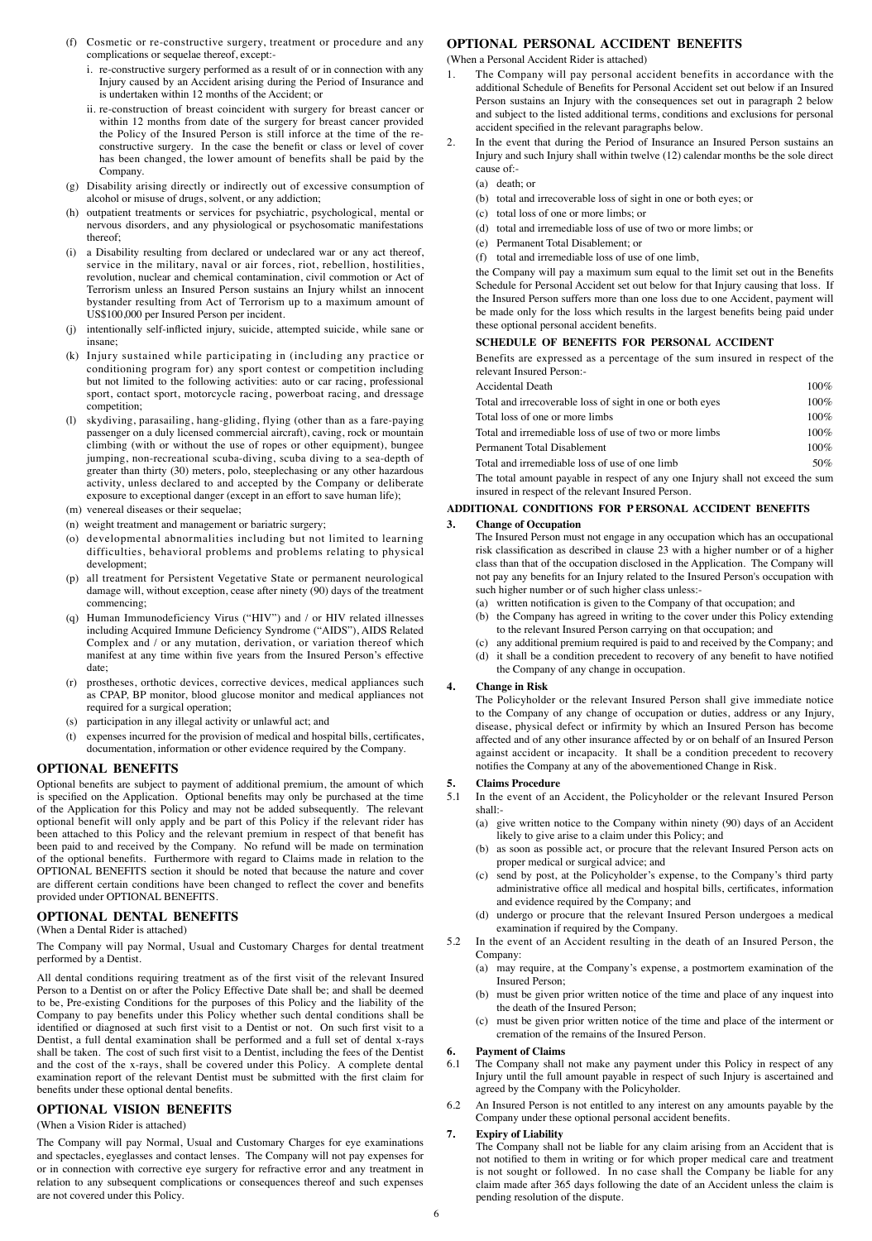- (f) Cosmetic or re-constructive surgery, treatment or procedure and any complications or sequelae thereof, except:
	- i. re-constructive surgery performed as a result of or in connection with any Injury caused by an Accident arising during the Period of Insurance and is undertaken within 12 months of the Accident; or
	- ii. re-construction of breast coincident with surgery for breast cancer or within 12 months from date of the surgery for breast cancer provided the Policy of the Insured Person is still inforce at the time of the reconstructive surgery. In the case the benefit or class or level of cover has been changed, the lower amount of benefits shall be paid by the Company.
- (g) Disability arising directly or indirectly out of excessive consumption of alcohol or misuse of drugs, solvent, or any addiction;
- (h) outpatient treatments or services for psychiatric, psychological, mental or nervous disorders, and any physiological or psychosomatic manifestations thereof;
- (i) a Disability resulting from declared or undeclared war or any act thereof, service in the military, naval or air forces, riot, rebellion, hostilities, revolution, nuclear and chemical contamination, civil commotion or Act of Terrorism unless an Insured Person sustains an Injury whilst an innocent bystander resulting from Act of Terrorism up to a maximum amount of US\$100,000 per Insured Person per incident.
- (j) intentionally self-inflicted injury, suicide, attempted suicide, while sane or insane;
- (k) Injury sustained while participating in (including any practice or conditioning program for) any sport contest or competition including but not limited to the following activities: auto or car racing, professional sport, contact sport, motorcycle racing, powerboat racing, and dressage competition;
- (l) skydiving, parasailing, hang-gliding, flying (other than as a fare-paying passenger on a duly licensed commercial aircraft), caving, rock or mountain climbing (with or without the use of ropes or other equipment), bungee jumping, non-recreational scuba-diving, scuba diving to a sea-depth of greater than thirty (30) meters, polo, steeplechasing or any other hazardous activity, unless declared to and accepted by the Company or deliberate exposure to exceptional danger (except in an effort to save human life);
- (m) venereal diseases or their sequelae;
- (n) weight treatment and management or bariatric surgery;
- (o) developmental abnormalities including but not limited to learning difficulties, behavioral problems and problems relating to physical development;
- all treatment for Persistent Vegetative State or permanent neurological damage will, without exception, cease after ninety (90) days of the treatment commencing;
- (q) Human Immunodeficiency Virus ("HIV") and / or HIV related illnesses including Acquired Immune Deficiency Syndrome ("AIDS"), AIDS Related Complex and / or any mutation, derivation, or variation thereof which manifest at any time within five years from the Insured Person's effective date;
- (r) prostheses, orthotic devices, corrective devices, medical appliances such as CPAP, BP monitor, blood glucose monitor and medical appliances not required for a surgical operation;
- (s) participation in any illegal activity or unlawful act; and
- (t) expenses incurred for the provision of medical and hospital bills, certificates, documentation, information or other evidence required by the Company.

### **OPTIONAL BENEFITS**

Optional benefits are subject to payment of additional premium, the amount of which is specified on the Application. Optional benefits may only be purchased at the time of the Application for this Policy and may not be added subsequently. The relevant optional benefit will only apply and be part of this Policy if the relevant rider has been attached to this Policy and the relevant premium in respect of that benefit has been paid to and received by the Company. No refund will be made on termination of the optional benefits. Furthermore with regard to Claims made in relation to the OPTIONAL BENEFITS section it should be noted that because the nature and cover are different certain conditions have been changed to reflect the cover and benefits provided under OPTIONAL BENEFITS.

#### **OPTIONAL DENTAL BENEFITS**

(When a Dental Rider is attached)

The Company will pay Normal, Usual and Customary Charges for dental treatment performed by a Dentist.

All dental conditions requiring treatment as of the first visit of the relevant Insured Person to a Dentist on or after the Policy Effective Date shall be; and shall be deemed to be, Pre-existing Conditions for the purposes of this Policy and the liability of the Company to pay benefits under this Policy whether such dental conditions shall be identified or diagnosed at such first visit to a Dentist or not. On such first visit to a Dentist, a full dental examination shall be performed and a full set of dental x-rays shall be taken. The cost of such first visit to a Dentist, including the fees of the Dentist and the cost of the x-rays, shall be covered under this Policy. A complete dental examination report of the relevant Dentist must be submitted with the first claim for benefits under these optional dental benefits.

## **OPTIONAL VISION BENEFITS**

#### (When a Vision Rider is attached)

The Company will pay Normal, Usual and Customary Charges for eye examinations and spectacles, eyeglasses and contact lenses. The Company will not pay expenses for or in connection with corrective eye surgery for refractive error and any treatment in relation to any subsequent complications or consequences thereof and such expenses are not covered under this Policy.

## **OPTIONAL PERSONAL ACCIDENT BENEFITS**

(When a Personal Accident Rider is attached)

- 1. The Company will pay personal accident benefits in accordance with the additional Schedule of Benefits for Personal Accident set out below if an Insured Person sustains an Injury with the consequences set out in paragraph 2 below and subject to the listed additional terms, conditions and exclusions for personal accident specified in the relevant paragraphs below.
- 2. In the event that during the Period of Insurance an Insured Person sustains an Injury and such Injury shall within twelve (12) calendar months be the sole direct cause of:-
	- (a) death; or
	- (b) total and irrecoverable loss of sight in one or both eyes; or
	- (c) total loss of one or more limbs; or
	- (d) total and irremediable loss of use of two or more limbs; or
	- (e) Permanent Total Disablement; or
	- (f) total and irremediable loss of use of one limb,

the Company will pay a maximum sum equal to the limit set out in the Benefits Schedule for Personal Accident set out below for that Injury causing that loss. If the Insured Person suffers more than one loss due to one Accident, payment will be made only for the loss which results in the largest benefits being paid under these optional personal accident benefits.

#### **SCHEDULE OF BENEFITS FOR PERSONAL ACCIDENT**

Benefits are expressed as a percentage of the sum insured in respect of the relevant Insured Person:-

| Accidental Death                                          | $100\%$ |
|-----------------------------------------------------------|---------|
| Total and irrecoverable loss of sight in one or both eyes | $100\%$ |
| Total loss of one or more limbs                           | $100\%$ |
| Total and irremediable loss of use of two or more limbs   | $100\%$ |
| Permanent Total Disablement                               | $100\%$ |
| Total and irremediable loss of use of one limb            | 50%     |
|                                                           |         |

The total amount payable in respect of any one Injury shall not exceed the sum insured in respect of the relevant Insured Person.

### **ADDITIONAL CONDITIONS FOR P ERSONAL ACCIDENT BENEFITS**

#### **3. Change of Occupation**

The Insured Person must not engage in any occupation which has an occupational risk classification as described in clause 23 with a higher number or of a higher class than that of the occupation disclosed in the Application. The Company will not pay any benefits for an Injury related to the Insured Person's occupation with such higher number or of such higher class unless:-

- (a) written notification is given to the Company of that occupation; and
- (b) the Company has agreed in writing to the cover under this Policy extending to the relevant Insured Person carrying on that occupation; and
- (c) any additional premium required is paid to and received by the Company; and (d) it shall be a condition precedent to recovery of any benefit to have notified
- the Company of any change in occupation.

## **4. Change in Risk**

The Policyholder or the relevant Insured Person shall give immediate notice to the Company of any change of occupation or duties, address or any Injury, disease, physical defect or infirmity by which an Insured Person has become affected and of any other insurance affected by or on behalf of an Insured Person against accident or incapacity. It shall be a condition precedent to recovery notifies the Company at any of the abovementioned Change in Risk.

#### **5. Claims Procedure**

- 5.1 In the event of an Accident, the Policyholder or the relevant Insured Person shall:-
	- (a) give written notice to the Company within ninety (90) days of an Accident likely to give arise to a claim under this Policy; and
	- (b) as soon as possible act, or procure that the relevant Insured Person acts on proper medical or surgical advice; and
	- (c) send by post, at the Policyholder's expense, to the Company's third party administrative office all medical and hospital bills, certificates, information and evidence required by the Company; and
	- (d) undergo or procure that the relevant Insured Person undergoes a medical examination if required by the Company.
- 5.2 In the event of an Accident resulting in the death of an Insured Person, the Company:
	- (a) may require, at the Company's expense, a postmortem examination of the Insured Person;
	- (b) must be given prior written notice of the time and place of any inquest into the death of the Insured Person;
	- (c) must be given prior written notice of the time and place of the interment or cremation of the remains of the Insured Person.

# **6. Payment of Claims**

- The Company shall not make any payment under this Policy in respect of any Injury until the full amount payable in respect of such Injury is ascertained and agreed by the Company with the Policyholder.
- 6.2 An Insured Person is not entitled to any interest on any amounts payable by the Company under these optional personal accident benefits.

### **7. Expiry of Liability**

The Company shall not be liable for any claim arising from an Accident that is not notified to them in writing or for which proper medical care and treatment is not sought or followed. In no case shall the Company be liable for any claim made after 365 days following the date of an Accident unless the claim is pending resolution of the dispute.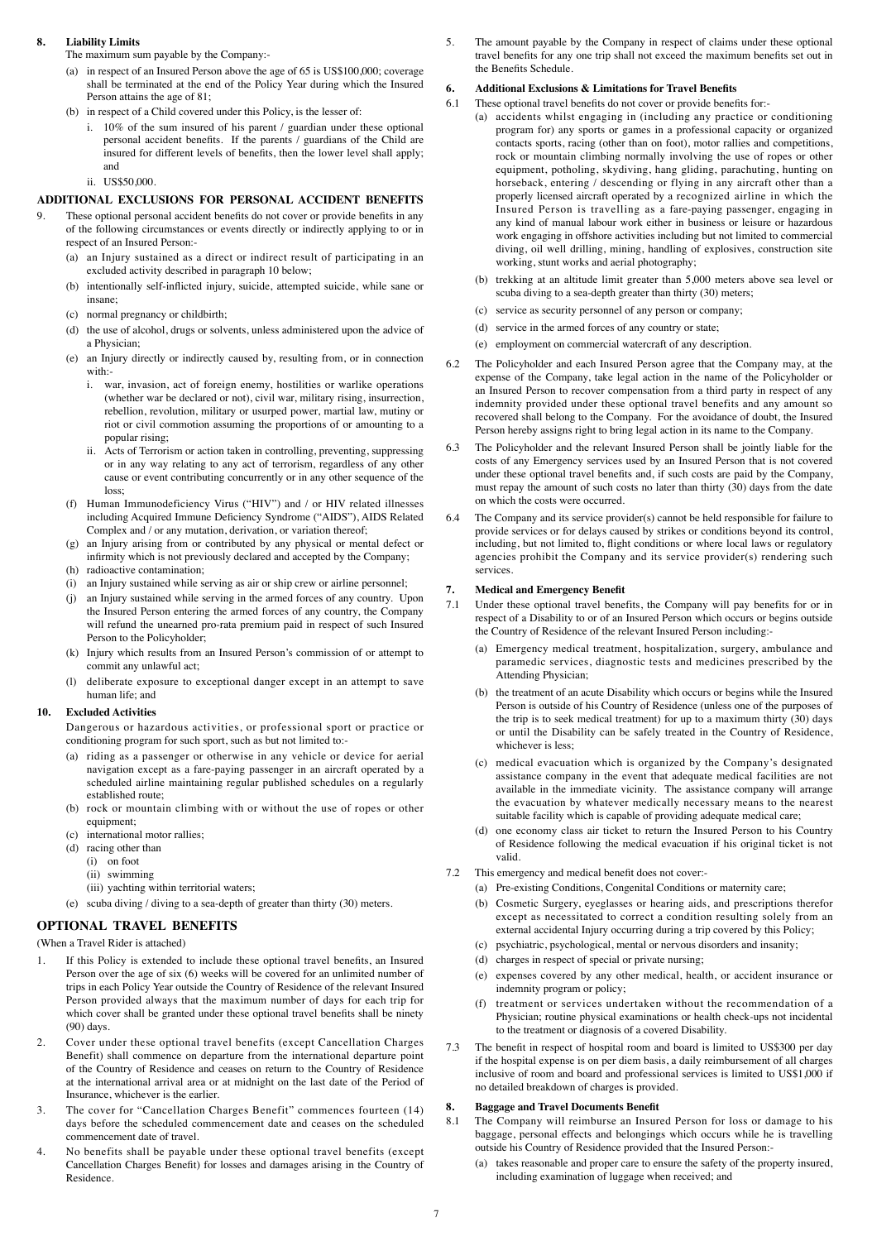### **8. Liability Limits**

The maximum sum payable by the Company:-

- (a) in respect of an Insured Person above the age of 65 is US\$100,000; coverage  $s$ hall be terminated at the end of the Policy Year during which the Insured Person attains the age of 81;
- (b) in respect of a Child covered under this Policy, is the lesser of:
	- i. 10% of the sum insured of his parent / guardian under these optional personal accident benefits. If the parents / guardians of the Child are insured for different levels of benefits, then the lower level shall apply; and
	- ii. US\$50,000.

## **ADDITIONAL EXCLUSIONS FOR PERSONAL ACCIDENT BENEFITS**

- 9. These optional personal accident benefits do not cover or provide benefits in any of the following circumstances or events directly or indirectly applying to or in respect of an Insured Person:-
	- (a) an Injury sustained as a direct or indirect result of participating in an excluded activity described in paragraph 10 below;
	- (b) intentionally self-inflicted injury, suicide, attempted suicide, while sane or insane;
	- (c) normal pregnancy or childbirth;
	- (d) the use of alcohol, drugs or solvents, unless administered upon the advice of a Physician;
	- (e) an Injury directly or indirectly caused by, resulting from, or in connection with:
		- i. war, invasion, act of foreign enemy, hostilities or warlike operations (whether war be declared or not), civil war, military rising, insurrection, rebellion, revolution, military or usurped power, martial law, mutiny or riot or civil commotion assuming the proportions of or amounting to a popular rising;
		- ii. Acts of Terrorism or action taken in controlling, preventing, suppressing or in any way relating to any act of terrorism, regardless of any other cause or event contributing concurrently or in any other sequence of the loss;
	- (f) Human Immunodeficiency Virus ("HIV") and / or HIV related illnesses including Acquired Immune Deficiency Syndrome ("AIDS"), AIDS Related Complex and / or any mutation, derivation, or variation thereof;
	- (g) an Injury arising from or contributed by any physical or mental defect or infirmity which is not previously declared and accepted by the Company;
	- (h) radioactive contamination;
	- (i) an Injury sustained while serving as air or ship crew or airline personnel;
	- (j) an Injury sustained while serving in the armed forces of any country. Upon the Insured Person entering the armed forces of any country, the Company will refund the unearned pro-rata premium paid in respect of such Insured Person to the Policyholder;
	- (k) Injury which results from an Insured Person's commission of or attempt to commit any unlawful act;
	- (l) deliberate exposure to exceptional danger except in an attempt to save human life; and

#### **10. Excluded Activities**

Dangerous or hazardous activities, or professional sport or practice or conditioning program for such sport, such as but not limited to:-

- (a) riding as a passenger or otherwise in any vehicle or device for aerial navigation except as a fare-paying passenger in an aircraft operated by a scheduled airline maintaining regular published schedules on a regularly established route;
- (b) rock or mountain climbing with or without the use of ropes or other equipment;
- (c) international motor rallies;
- (d) racing other than
	- (i) on foot
	- (ii) swimming
- (iii) yachting within territorial waters;
- (e) scuba diving / diving to a sea-depth of greater than thirty (30) meters.

## **OPTIONAL TRAVEL BENEFITS**

(When a Travel Rider is attached)

- 1. If this Policy is extended to include these optional travel benefits, an Insured Person over the age of six (6) weeks will be covered for an unlimited number of trips in each Policy Year outside the Country of Residence of the relevant Insured Person provided always that the maximum number of days for each trip for which cover shall be granted under these optional travel benefits shall be ninety (90) days.
- 2. Cover under these optional travel benefits (except Cancellation Charges Benefit) shall commence on departure from the international departure point of the Country of Residence and ceases on return to the Country of Residence at the international arrival area or at midnight on the last date of the Period of Insurance, whichever is the earlier.
- 3. The cover for "Cancellation Charges Benefit" commences fourteen (14) days before the scheduled commencement date and ceases on the scheduled commencement date of travel.
- 4. No benefits shall be payable under these optional travel benefits (except Cancellation Charges Benefit) for losses and damages arising in the Country of Residence.

5. The amount payable by the Company in respect of claims under these optional travel benefits for any one trip shall not exceed the maximum benefits set out in the Benefits Schedule.

## **6. Additional Exclusions & Limitations for Travel Benefits**

- 6.1 These optional travel benefits do not cover or provide benefits for:-
	- (a) accidents whilst engaging in (including any practice or conditioning program for) any sports or games in a professional capacity or organized contacts sports, racing (other than on foot), motor rallies and competitions, rock or mountain climbing normally involving the use of ropes or other equipment, potholing, skydiving, hang gliding, parachuting, hunting on horseback, entering / descending or flying in any aircraft other than a properly licensed aircraft operated by a recognized airline in which the Insured Person is travelling as a fare-paying passenger, engaging in any kind of manual labour work either in business or leisure or hazardous work engaging in offshore activities including but not limited to commercial diving, oil well drilling, mining, handling of explosives, construction site working, stunt works and aerial photography;
		- (b) trekking at an altitude limit greater than 5,000 meters above sea level or scuba diving to a sea-depth greater than thirty (30) meters;
		- (c) service as security personnel of any person or company;
		- (d) service in the armed forces of any country or state;
		- (e) employment on commercial watercraft of any description.
- 6.2 The Policyholder and each Insured Person agree that the Company may, at the expense of the Company, take legal action in the name of the Policyholder or an Insured Person to recover compensation from a third party in respect of any indemnity provided under these optional travel benefits and any amount so recovered shall belong to the Company. For the avoidance of doubt, the Insured Person hereby assigns right to bring legal action in its name to the Company.
- 6.3 The Policyholder and the relevant Insured Person shall be jointly liable for the costs of any Emergency services used by an Insured Person that is not covered under these optional travel benefits and, if such costs are paid by the Company, must repay the amount of such costs no later than thirty (30) days from the date on which the costs were occurred.
- 6.4 The Company and its service provider(s) cannot be held responsible for failure to provide services or for delays caused by strikes or conditions beyond its control, including, but not limited to, flight conditions or where local laws or regulatory agencies prohibit the Company and its service provider(s) rendering such services.

#### **7. Medical and Emergency Benefit**

- 7.1 Under these optional travel benefits, the Company will pay benefits for or in respect of a Disability to or of an Insured Person which occurs or begins outside the Country of Residence of the relevant Insured Person including:-
	- (a) Emergency medical treatment, hospitalization, surgery, ambulance and paramedic services, diagnostic tests and medicines prescribed by the Attending Physician;
	- (b) the treatment of an acute Disability which occurs or begins while the Insured Person is outside of his Country of Residence (unless one of the purposes of the trip is to seek medical treatment) for up to a maximum thirty (30) days or until the Disability can be safely treated in the Country of Residence, whichever is less;
	- (c) medical evacuation which is organized by the Company's designated assistance company in the event that adequate medical facilities are not available in the immediate vicinity. The assistance company will arrange the evacuation by whatever medically necessary means to the nearest suitable facility which is capable of providing adequate medical care;
	- (d) one economy class air ticket to return the Insured Person to his Country of Residence following the medical evacuation if his original ticket is not valid.
- 7.2 This emergency and medical benefit does not cover:-
	- (a) Pre-existing Conditions, Congenital Conditions or maternity care;
	- (b) Cosmetic Surgery, eyeglasses or hearing aids, and prescriptions therefor except as necessitated to correct a condition resulting solely from an external accidental Injury occurring during a trip covered by this Policy;
	- (c) psychiatric, psychological, mental or nervous disorders and insanity;
	- (d) charges in respect of special or private nursing;
	- (e) expenses covered by any other medical, health, or accident insurance or indemnity program or policy;
	- (f) treatment or services undertaken without the recommendation of a Physician; routine physical examinations or health check-ups not incidental to the treatment or diagnosis of a covered Disability.
- 7.3 The benefit in respect of hospital room and board is limited to US\$300 per day if the hospital expense is on per diem basis, a daily reimbursement of all charges inclusive of room and board and professional services is limited to US\$1,000 if no detailed breakdown of charges is provided.

## **8. Baggage and Travel Documents Benefit**

- 8.1 The Company will reimburse an Insured Person for loss or damage to his baggage, personal effects and belongings which occurs while he is travelling outside his Country of Residence provided that the Insured Person:-
	- (a) takes reasonable and proper care to ensure the safety of the property insured, including examination of luggage when received; and